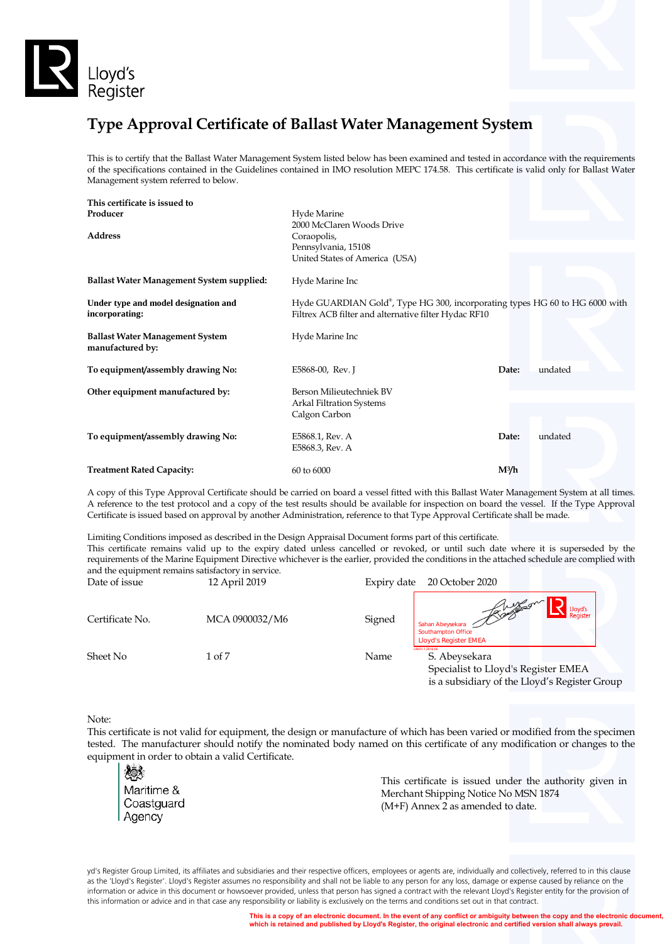

# **Type Approval Certificate of Ballast Water Management System**

This is to certify that the Ballast Water Management System listed below has been examined and tested in accordance with the requirements of the specifications contained in the Guidelines contained in IMO resolution MEPC 174.58. This certificate is valid only for Ballast Water Management system referred to below.

| This certificate is issued to                              |                                                                                                                                     |                   |         |
|------------------------------------------------------------|-------------------------------------------------------------------------------------------------------------------------------------|-------------------|---------|
| Producer                                                   | Hyde Marine                                                                                                                         |                   |         |
|                                                            | 2000 McClaren Woods Drive                                                                                                           |                   |         |
| <b>Address</b>                                             | Coraopolis,                                                                                                                         |                   |         |
|                                                            | Pennsylvania, 15108                                                                                                                 |                   |         |
|                                                            | United States of America (USA)                                                                                                      |                   |         |
| <b>Ballast Water Management System supplied:</b>           | Hyde Marine Inc                                                                                                                     |                   |         |
| Under type and model designation and<br>incorporating:     | Hyde GUARDIAN Gold®, Type HG 300, incorporating types HG 60 to HG 6000 with<br>Filtrex ACB filter and alternative filter Hydac RF10 |                   |         |
| <b>Ballast Water Management System</b><br>manufactured by: | Hyde Marine Inc                                                                                                                     |                   |         |
| To equipment/assembly drawing No:                          | E5868-00, Rev. J                                                                                                                    | Date:             | undated |
| Other equipment manufactured by:                           | Berson Milieutechniek BV                                                                                                            |                   |         |
|                                                            | <b>Arkal Filtration Systems</b>                                                                                                     |                   |         |
|                                                            | Calgon Carbon                                                                                                                       |                   |         |
|                                                            |                                                                                                                                     |                   |         |
| To equipment/assembly drawing No:                          | E5868.1, Rev. A                                                                                                                     | Date:             | undated |
|                                                            | E5868.3, Rev. A                                                                                                                     |                   |         |
|                                                            |                                                                                                                                     |                   |         |
| <b>Treatment Rated Capacity:</b>                           | 60 to 6000                                                                                                                          | M <sup>3</sup> /h |         |

A copy of this Type Approval Certificate should be carried on board a vessel fitted with this Ballast Water Management System at all times. A reference to the test protocol and a copy of the test results should be available for inspection on board the vessel. If the Type Approval Certificate is issued based on approval by another Administration, reference to that Type Approval Certificate shall be made.

Limiting Conditions imposed as described in the Design Appraisal Document forms part of this certificate. This certificate remains valid up to the expiry dated unless cancelled or revoked, or until such date where it is superseded by the requirements of the Marine Equipment Directive whichever is the earlier, provided the conditions in the attached schedule are complied with and the equipment remains satisfactory in service.

| Date of issue   | 12 April 2019  | 20 October 2020<br>Expiry date                                                                                                   |
|-----------------|----------------|----------------------------------------------------------------------------------------------------------------------------------|
| Certificate No. | MCA 0900032/M6 | Romson<br>_lovd's<br>Signed<br>Sahan Abeysekara<br><b>Southampton Office</b><br><b>Lloyd's Register EMEA</b>                     |
| Sheet No        | 1 of 7         | LR031.1.2016.06<br>Name<br>S. Abeysekara<br>Specialist to Lloyd's Register EMEA<br>is a subsidiary of the Lloyd's Register Group |

#### Note:

This certificate is not valid for equipment, the design or manufacture of which has been varied or modified from the specimen tested. The manufacturer should notify the nominated body named on this certificate of any modification or changes to the equipment in order to obtain a valid Certificate.

yd's Register Group Limited, its affiliates and subsidiaries and their respective officers, employees or agents are, individually and collectively, referred to in this clause as the 'Lloyd's Register'. Lloyd's Register assumes no responsibility and shall not be liable to any person for any loss, damage or expense caused by reliance on the information or advice in this document or howsoever provided, unless that person has signed a contract with the relevant Lloyd's Register entity for the provision of this information or advice and in that case any responsibility or liability is exclusively on the terms and conditions set out in that contract.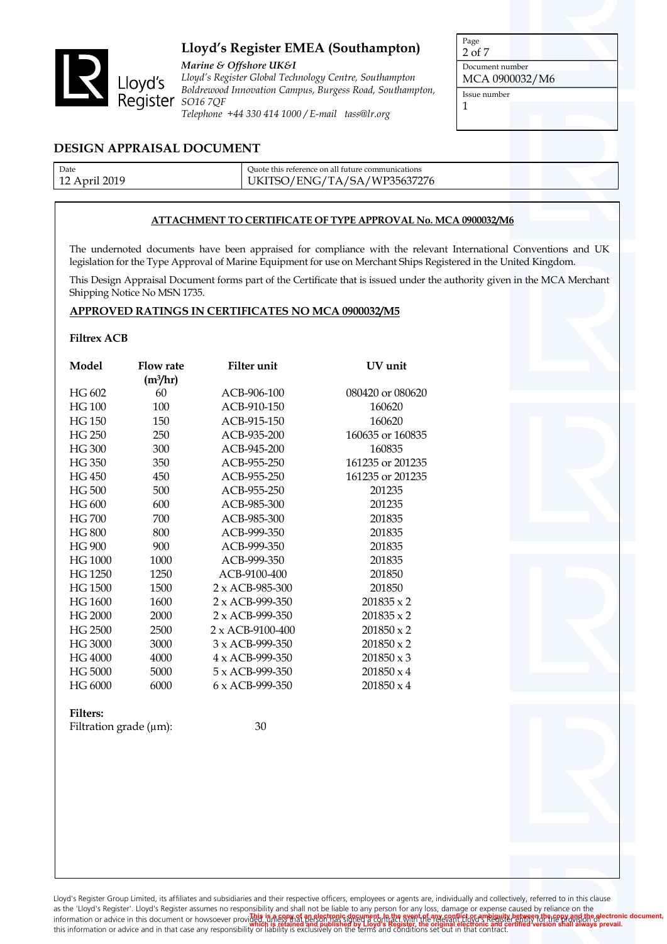

*Marine & Offshore UK&I Lloyd's Register Global Technology Centre, Southampton Boldrewood Innovation Campus, Burgess Road, Southampton, SO16 7QF Telephone +44 330 414 1000 / E-mail tass@lr.org*

Page 2 of 7 Document number MCA 0900032/M6 Issue number 1

### **DESIGN APPRAISAL DOCUMENT**

| Date             | Ouote this reference on all future communications |
|------------------|---------------------------------------------------|
| 2019<br>12 April | UKITSO/ENG/TA/SA/WP35637276                       |

### **ATTACHMENT TO CERTIFICATE OF TYPE APPROVAL No. MCA 0900032/M6**

The undernoted documents have been appraised for compliance with the relevant International Conventions and UK legislation for the Type Approval of Marine Equipment for use on Merchant Ships Registered in the United Kingdom.

This Design Appraisal Document forms part of the Certificate that is issued under the authority given in the MCA Merchant Shipping Notice No MSN 1735.

### **APPROVED RATINGS IN CERTIFICATES NO MCA 0900032/M5**

### **Filtrex ACB**

| Model         | <b>Flow rate</b>     | Filter unit             | UV unit           |
|---------------|----------------------|-------------------------|-------------------|
|               | (m <sup>3</sup> /hr) |                         |                   |
| HG 602        | 60                   | ACB-906-100             | 080420 or 080620  |
| <b>HG 100</b> | 100                  | ACB-910-150             | 160620            |
| <b>HG 150</b> | 150                  | ACB-915-150             | 160620            |
| <b>HG 250</b> | 250                  | ACB-935-200             | 160635 or 160835  |
| HG 300        | 300                  | ACB-945-200             | 160835            |
| HG 350        | 350                  | ACB-955-250             | 161235 or 201235  |
| HG 450        | 450                  | ACB-955-250             | 161235 or 201235  |
| HG 500        | 500                  | ACB-955-250             | 201235            |
| HG 600        | 600                  | ACB-985-300             | 201235            |
| <b>HG 700</b> | 700                  | ACB-985-300             | 201835            |
| <b>HG 800</b> | 800                  | ACB-999-350             | 201835            |
| HG 900        | 900                  | ACB-999-350             | 201835            |
| HG 1000       | 1000                 | ACB-999-350             | 201835            |
| HG 1250       | 1250                 | ACB-9100-400            | 201850            |
| HG 1500       | 1500                 | $2 \times ACB-985-300$  | 201850            |
| HG 1600       | 1600                 | $2 \times ACB-999-350$  | $201835 \times 2$ |
| HG 2000       | 2000                 | $2 \times ACB-999-350$  | $201835 \times 2$ |
| HG 2500       | 2500                 | $2 \times ACB-9100-400$ | $201850 \times 2$ |
| HG 3000       | 3000                 | 3 x ACB-999-350         | $201850 \times 2$ |
| HG 4000       | 4000                 | $4 \times ACB-999-350$  | $201850 \times 3$ |
| HG 5000       | 5000                 | $5 \times ACB-999-350$  | $201850 \times 4$ |
| HG 6000       | 6000                 | 6 x ACB-999-350         | $201850 \times 4$ |
|               |                      |                         |                   |

#### **Filters:**

Filtration grade  $(\mu m)$ : 30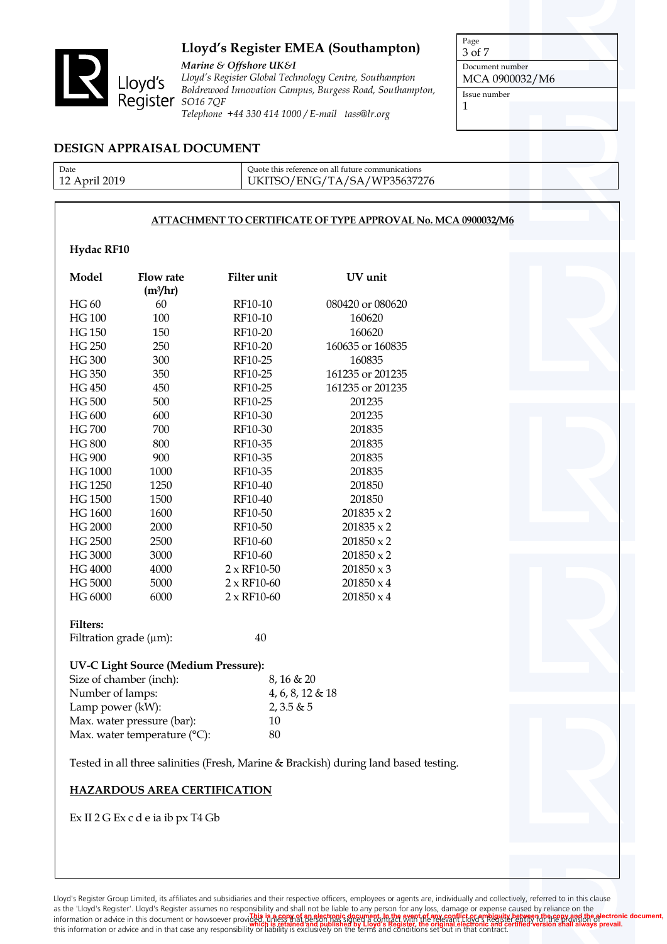

*Marine & Offshore UK&I Lloyd's Register Global Technology Centre, Southampton Boldrewood Innovation Campus, Burgess Road, Southampton, Telephone +44 330 414 1000 / E-mail tass@lr.org*

Page 3 of 7

Document number MCA 0900032/M6

Issue number

1

### **DESIGN APPRAISAL DOCUMENT**

| Date                        | Ouote this reference on all future communications                                         |  |
|-----------------------------|-------------------------------------------------------------------------------------------|--|
| 2019<br>12 Apri<br><u>.</u> | -<37276<br>'ENC<br>' いいじょうちく<br>$\leq \Delta$<br>U1<br><b>TTT</b><br>$\cup\cup\cup\cdots$ |  |
|                             |                                                                                           |  |

### **ATTACHMENT TO CERTIFICATE OF TYPE APPROVAL No. MCA 0900032/M6**

### **Hydac RF10**

| Model         | <b>Flow rate</b>     | Filter unit        | UV unit           |
|---------------|----------------------|--------------------|-------------------|
|               | (m <sup>3</sup> /hr) |                    |                   |
| HG 60         | 60                   | RF10-10            | 080420 or 080620  |
| <b>HG 100</b> | 100                  | RF10-10            | 160620            |
| <b>HG 150</b> | 150                  | RF10-20            | 160620            |
| HG 250        | 250                  | RF10-20            | 160635 or 160835  |
| <b>HG 300</b> | 300                  | RF10-25            | 160835            |
| <b>HG 350</b> | 350                  | RF10-25            | 161235 or 201235  |
| HG 450        | 450                  | RF10-25            | 161235 or 201235  |
| <b>HG 500</b> | 500                  | RF10-25            | 201235            |
| HG 600        | 600                  | RF10-30            | 201235            |
| <b>HG700</b>  | 700                  | RF10-30            | 201835            |
| <b>HG 800</b> | 800                  | RF10-35            | 201835            |
| <b>HG 900</b> | 900                  | RF10-35            | 201835            |
| HG 1000       | 1000                 | RF10-35            | 201835            |
| HG 1250       | 1250                 | RF10-40            | 201850            |
| HG 1500       | 1500                 | RF10-40            | 201850            |
| HG 1600       | 1600                 | RF10-50            | $201835 \times 2$ |
| HG 2000       | 2000                 | RF10-50            | $201835 \times 2$ |
| HG 2500       | 2500                 | RF10-60            | $201850 \times 2$ |
| HG 3000       | 3000                 | RF10-60            | $201850 \times 2$ |
| HG 4000       | 4000                 | $2 \times$ RF10-50 | $201850 \times 3$ |
| HG 5000       | 5000                 | $2 \times$ RF10-60 | $201850 \times 4$ |
| HG 6000       | 6000                 | $2 \times$ RF10-60 | $201850 \times 4$ |

#### **Filters:**

Filtration grade  $(\mu m)$ : 40

#### **UV-C Light Source (Medium Pressure):**

| Size of chamber (inch):         | $8,16 \& 20$        |
|---------------------------------|---------------------|
| Number of lamps:                | $4, 6, 8, 12 \& 18$ |
| Lamp power (kW):                | 2,3.5 & 5           |
| Max. water pressure (bar):      | 10                  |
| Max. water temperature $(°C)$ : | 80                  |

Tested in all three salinities (Fresh, Marine & Brackish) during land based testing.

### **HAZARDOUS AREA CERTIFICATION**

Ex II 2 G Ex c d e ia ib px T4 Gb

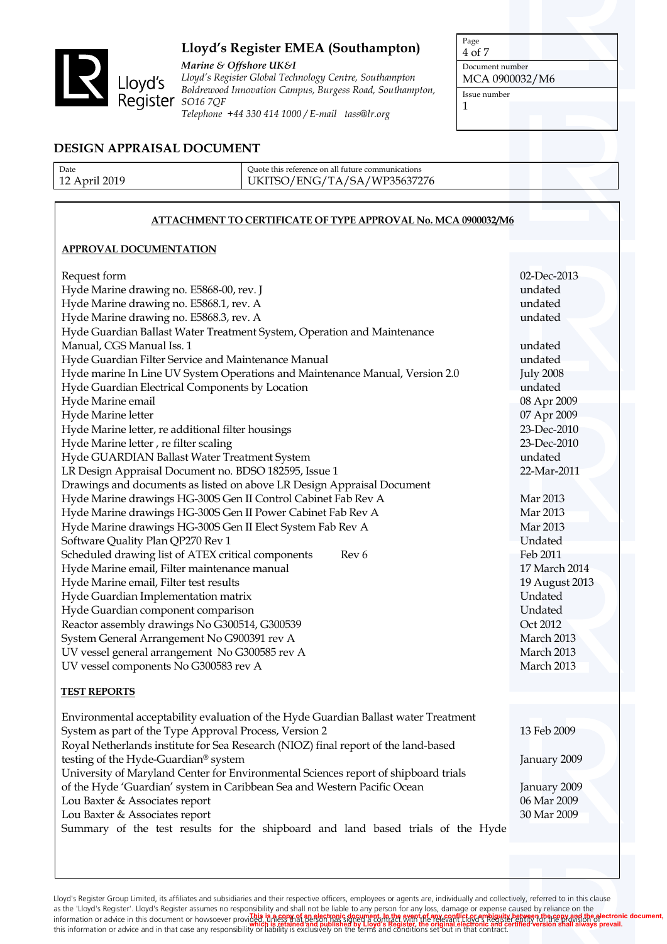

*Marine & Offshore UK&I Lloyd's Register Global Technology Centre, Southampton Boldrewood Innovation Campus, Burgess Road, Southampton, Telephone +44 330 414 1000 / E-mail tass@lr.org*

Page 4 of 7

Document number MCA 0900032/M6

Issue number

1

### **DESIGN APPRAISAL DOCUMENT**

| Date                        | Quote this reference on all future communications                        |
|-----------------------------|--------------------------------------------------------------------------|
| 2019<br>12 Apri<br><u>.</u> | WP35637276<br>'ENIC<br>$\mathsf{A}$<br>$\Lambda$<br>י ג∡ י<br><b>***</b> |
|                             |                                                                          |

### **ATTACHMENT TO CERTIFICATE OF TYPE APPROVAL No. MCA 0900032/M6**

### **APPROVAL DOCUMENTATION**

| Request form                                                                        | 02-Dec-2013      |
|-------------------------------------------------------------------------------------|------------------|
| Hyde Marine drawing no. E5868-00, rev. J                                            | undated          |
| Hyde Marine drawing no. E5868.1, rev. A                                             | undated          |
| Hyde Marine drawing no. E5868.3, rev. A                                             | undated          |
| Hyde Guardian Ballast Water Treatment System, Operation and Maintenance             |                  |
| Manual, CGS Manual Iss. 1                                                           | undated          |
| Hyde Guardian Filter Service and Maintenance Manual                                 | undated          |
| Hyde marine In Line UV System Operations and Maintenance Manual, Version 2.0        | <b>July 2008</b> |
| Hyde Guardian Electrical Components by Location                                     | undated          |
| Hyde Marine email                                                                   | 08 Apr 2009      |
| Hyde Marine letter                                                                  | 07 Apr 2009      |
| Hyde Marine letter, re additional filter housings                                   | 23-Dec-2010      |
| Hyde Marine letter, re filter scaling                                               | 23-Dec-2010      |
| Hyde GUARDIAN Ballast Water Treatment System                                        | undated          |
| LR Design Appraisal Document no. BDSO 182595, Issue 1                               | 22-Mar-2011      |
| Drawings and documents as listed on above LR Design Appraisal Document              |                  |
| Hyde Marine drawings HG-300S Gen II Control Cabinet Fab Rev A                       | Mar 2013         |
| Hyde Marine drawings HG-300S Gen II Power Cabinet Fab Rev A                         | Mar 2013         |
| Hyde Marine drawings HG-300S Gen II Elect System Fab Rev A                          | Mar 2013         |
| Software Quality Plan QP270 Rev 1                                                   | Undated          |
| Scheduled drawing list of ATEX critical components<br>Rev 6                         | Feb 2011         |
| Hyde Marine email, Filter maintenance manual                                        | 17 March 2014    |
| Hyde Marine email, Filter test results                                              | 19 August 2013   |
| Hyde Guardian Implementation matrix                                                 | Undated          |
| Hyde Guardian component comparison                                                  | Undated          |
| Reactor assembly drawings No G300514, G300539                                       | Oct 2012         |
| System General Arrangement No G900391 rev A                                         | March 2013       |
| UV vessel general arrangement No G300585 rev A                                      | March 2013       |
| UV vessel components No G300583 rev A                                               | March 2013       |
|                                                                                     |                  |
| <b>TEST REPORTS</b>                                                                 |                  |
|                                                                                     |                  |
| Environmental acceptability evaluation of the Hyde Guardian Ballast water Treatment |                  |
| System as part of the Type Approval Process, Version 2                              | 13 Feb 2009      |
| Royal Netherlands institute for Sea Research (NIOZ) final report of the land-based  |                  |
| testing of the Hyde-Guardian® system                                                | January 2009     |
| University of Maryland Center for Environmental Sciences report of shipboard trials |                  |
| of the Hyde 'Guardian' system in Caribbean Sea and Western Pacific Ocean            | January 2009     |
| Lou Baxter & Associates report                                                      | 06 Mar 2009      |
| Lou Baxter & Associates report                                                      | 30 Mar 2009      |
| Summary of the test results for the shipboard and land based trials of the Hyde     |                  |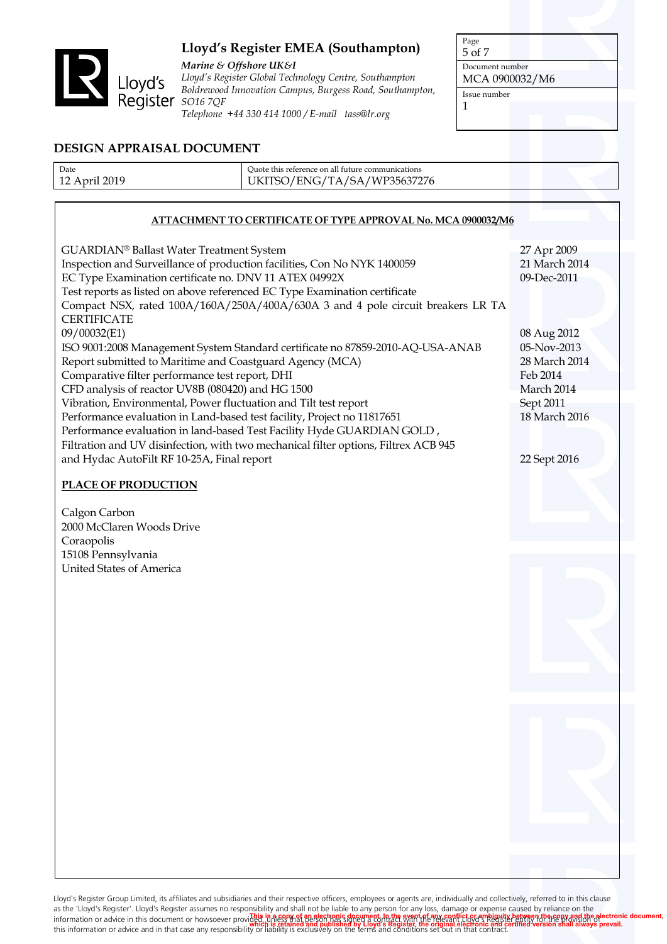

*Marine & Offshore UK&I*

*Lloyd's Register Global Technology Centre, Southampton Boldrewood Innovation Campus, Burgess Road, Southampton, Telephone +44 330 414 1000 / E-mail tass@lr.org*

Page 5 of 7 Document number

MCA 0900032/M6

Issue number

1

### **DESIGN APPRAISAL DOCUMENT**

| Date | Ouote this reference on all future communications            |  |
|------|--------------------------------------------------------------|--|
| 2019 | 'WP35637276<br>$^{\prime}$ SA<br>$'FNG/TA$ .<br>١K<br>11 Y Y |  |
|      |                                                              |  |

### **ATTACHMENT TO CERTIFICATE OF TYPE APPROVAL No. MCA 0900032/M6**

| GUARDIAN® Ballast Water Treatment System                                            | 27 Apr 2009   |
|-------------------------------------------------------------------------------------|---------------|
| Inspection and Surveillance of production facilities, Con No NYK 1400059            | 21 March 2014 |
| EC Type Examination certificate no. DNV 11 ATEX 04992X                              | 09-Dec-2011   |
| Test reports as listed on above referenced EC Type Examination certificate          |               |
| Compact NSX, rated 100A/160A/250A/400A/630A 3 and 4 pole circuit breakers LR TA     |               |
| <b>CERTIFICATE</b>                                                                  |               |
| 09/00032(E1)                                                                        | 08 Aug 2012   |
| ISO 9001:2008 Management System Standard certificate no 87859-2010-AQ-USA-ANAB      | 05-Nov-2013   |
| Report submitted to Maritime and Coastguard Agency (MCA)                            | 28 March 2014 |
| Comparative filter performance test report, DHI                                     | Feb 2014      |
| CFD analysis of reactor UV8B (080420) and HG 1500                                   | March 2014    |
| Vibration, Environmental, Power fluctuation and Tilt test report                    | Sept 2011     |
| Performance evaluation in Land-based test facility, Project no 11817651             | 18 March 2016 |
| Performance evaluation in land-based Test Facility Hyde GUARDIAN GOLD,              |               |
| Filtration and UV disinfection, with two mechanical filter options, Filtrex ACB 945 |               |
| and Hydac AutoFilt RF 10-25A, Final report                                          | 22 Sept 2016  |
|                                                                                     |               |

### **PLACE OF PRODUCTION**

Calgon Carbon 2000 McClaren Woods Drive Coraopolis 15108 Pennsylvania United States of America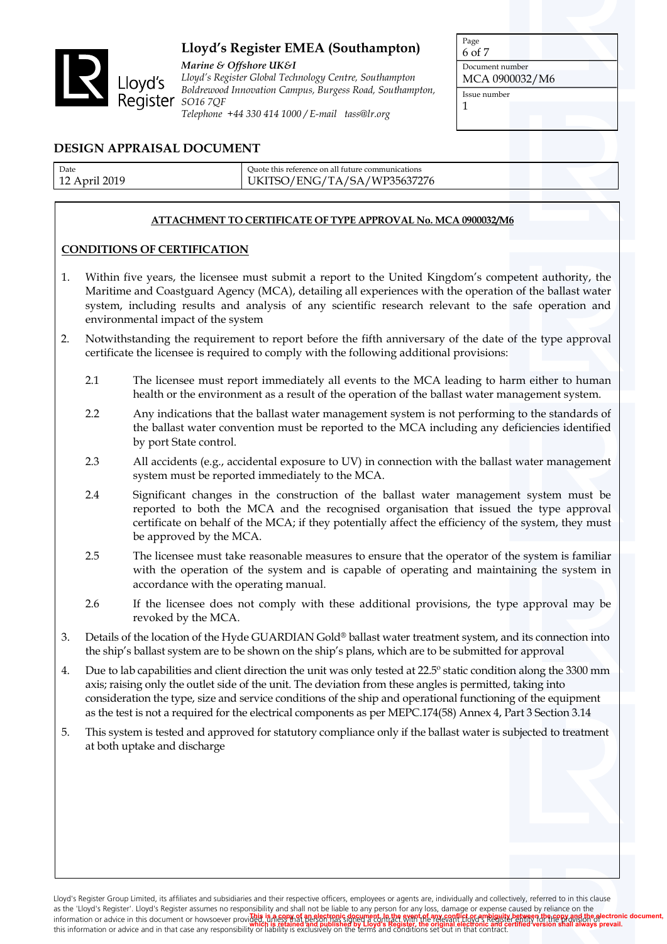

*Marine & Offshore UK&I Lloyd's Register Global Technology Centre, Southampton Boldrewood Innovation Campus, Burgess Road, Southampton, Telephone +44 330 414 1000 / E-mail tass@lr.org*

Page 6 of 7 Document number MCA 0900032/M6 Issue number 1

### **DESIGN APPRAISAL DOCUMENT**

| Date                     | Quote this reference on all future communications   |  |
|--------------------------|-----------------------------------------------------|--|
| 2019<br>$12$ Apri.<br>∸∸ | /SA<br>1137276<br>' FNG 4<br>WP35637.<br><b>TTT</b> |  |
|                          |                                                     |  |

### **ATTACHMENT TO CERTIFICATE OF TYPE APPROVAL No. MCA 0900032/M6**

### **CONDITIONS OF CERTIFICATION**

- 1. Within five years, the licensee must submit a report to the United Kingdom's competent authority, the Maritime and Coastguard Agency (MCA), detailing all experiences with the operation of the ballast water system, including results and analysis of any scientific research relevant to the safe operation and environmental impact of the system
- 2. Notwithstanding the requirement to report before the fifth anniversary of the date of the type approval certificate the licensee is required to comply with the following additional provisions:
	- 2.1 The licensee must report immediately all events to the MCA leading to harm either to human health or the environment as a result of the operation of the ballast water management system.
	- 2.2 Any indications that the ballast water management system is not performing to the standards of the ballast water convention must be reported to the MCA including any deficiencies identified by port State control.
	- 2.3 All accidents (e.g., accidental exposure to UV) in connection with the ballast water management system must be reported immediately to the MCA.
	- 2.4 Significant changes in the construction of the ballast water management system must be reported to both the MCA and the recognised organisation that issued the type approval certificate on behalf of the MCA; if they potentially affect the efficiency of the system, they must be approved by the MCA.
	- 2.5 The licensee must take reasonable measures to ensure that the operator of the system is familiar with the operation of the system and is capable of operating and maintaining the system in accordance with the operating manual.
	- 2.6 If the licensee does not comply with these additional provisions, the type approval may be revoked by the MCA.
- 3. Details of the location of the Hyde GUARDIAN Gold® ballast water treatment system, and its connection into the ship's ballast system are to be shown on the ship's plans, which are to be submitted for approval
- 4. Due to lab capabilities and client direction the unit was only tested at 22.5º static condition along the 3300 mm axis; raising only the outlet side of the unit. The deviation from these angles is permitted, taking into consideration the type, size and service conditions of the ship and operational functioning of the equipment as the test is not a required for the electrical components as per MEPC.174(58) Annex 4, Part 3 Section 3.14
- 5. This system is tested and approved for statutory compliance only if the ballast water is subjected to treatment at both uptake and discharge